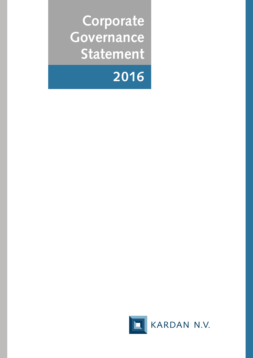**Corporate Governance Statement**



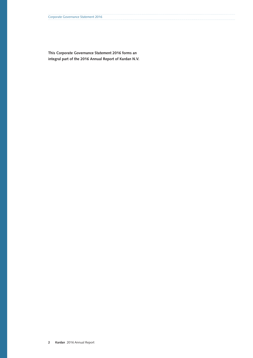**This Corporate Governance Statement 2016 forms an integral part of the 2016 Annual Report of Kardan N.V.**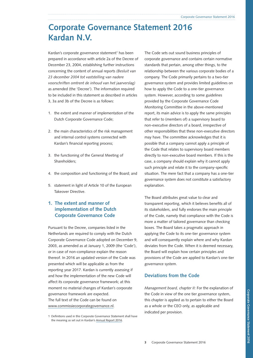# **Corporate Governance Statement 2016 Kardan N.V.**

Kardan's corporate governance statement<sup>1</sup> has been prepared in accordance with article 2a of the Decree of December 23, 2004, establishing further instructions concerning the content of annual reports *(Besluit van 23 december 2004 tot vaststelling van nadere voorschriften omtrent de inhoud van het jaarverslag)* as amended (the 'Decree'). The information required to be included in this statement as described in articles 3, 3a and 3b of the Decree is as follows:

- 1. the extent and manner of implementation of the Dutch Corporate Governance Code;
- 2. the main characteristics of the risk management and internal control systems connected with Kardan's financial reporting process;
- 3. the functioning of the General Meeting of Shareholders;
- 4. the composition and functioning of the Board; and
- 5. statement in light of Article 10 of the European Takeover Directive.

# **1. The extent and manner of implementation of the Dutch Corporate Governance Code**

Pursuant to the Decree, companies listed in the Netherlands are required to comply with the Dutch Corporate Governance Code adopted on December 9, 2003, as amended as at January 1, 2009 (the 'Code'), or in case of non-compliance explain the reason thereof. In 2016 an updated version of the Code was presented which will be applicable as from the reporting year 2017. Kardan is currently assessing if and how the implementation of the new Code will affect its corporate governance framework; at this moment no material changes of Kardan's corporate governance framework are expected. The full text of the Code can be found on www.commissiecorporategovernance.nl.

The Code sets out sound business principles of corporate governance and contains certain normative standards that pertain, among other things, to the relationship between the various corporate bodies of a company. The Code primarily pertains to a two-tier governance system and provides limited guidelines on how to apply the Code to a one-tier governance system. However, according to some guidelines provided by the Corporate Governance Code Monitoring Committee in the above-mentioned report, its main advice is to apply the same principles that refer to (members of) a supervisory board to non-executive directors of a board, irrespective of other responsibilities that these non-executive directors may have. The committee acknowledges that it is possible that a company cannot apply a principle of the Code that relates to supervisory board members directly to non-executive board members. If this is the case, a company should explain why it cannot apply such principle and relate it to the company-specific situation. The mere fact that a company has a one-tier governance system does not constitute a satisfactory explanation.

The Board attributes great value to clear and transparent reporting, which it believes benefits all of its stakeholders, and fully endorses the main principle of the Code, namely that compliance with the Code is more a matter of tailored governance than checking boxes. The Board takes a pragmatic approach in applying the Code to its one-tier governance system and will consequently explain where and why Kardan deviates from the Code. When it is deemed necessary, the Board will explain how certain principles and provisions of the Code are applied to Kardan's one-tier governance system.

# **Deviations from the Code**

*Management board, chapter II:* For the explanation of the Code in view of the one tier governance system, this chapter is applied as to pertain to either the Board as a whole or the CEO only, as applicable and indicated per provision.

<sup>1</sup> Definitions used in this Corporate Governance Statement shall have the meaning as set out in Kardan's [Annual Report 2016](http://www.kardan.nl/images/annual-report/annual-reports/AR2016.pdf).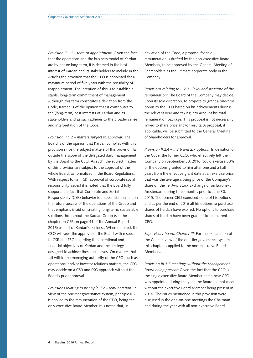*Provision II.1.1 – term of appointment:* Given the fact that the operations and the business model of Kardan are by nature long term, it is deemed in the best interest of Kardan and its stakeholders to include in the Articles the provision that the CEO is appointed for a maximum period of five years with the possibility of reappointment. The intention of this is to establish a stable, long-term commitment of management. Although this term constitutes a deviation from the Code, Kardan is of the opinion that it contributes to the (long-term) best interests of Kardan and its stakeholders and as such adheres to the broader sense and interpretation of the Code.

*Provision II.1.2 – matters subject to approval:* The Board is of the opinion that Kardan complies with this provision since the subject matters of this provision fall outside the scope of the delegated daily management by the Board to the CEO. As such, the subject matters of this provision are subject to the approval of the whole Board, as formalized in the Board Regulations. With respect to item (d) (approval of corporate social responsibility issues) it is noted that the Board fully supports the fact that Corporate and Social Responsibility (CSR) behavior is an essential element in the future success of the operations of the Group and that emphasis is laid on creating long-term, sustainable solutions throughout the Kardan Group (see the chapter on CSR on page 41 of the [Annual Report](http://www.kardan.nl/images/annual-report/annual-reports/AR2016.pdf)  [2016](http://www.kardan.nl/images/annual-report/annual-reports/AR2016.pdf)) as part of Kardan's business. When required, the CEO will seek the approval of the Board with respect to CSR and ESG regarding the operational and financial objectives of Kardan and the strategy designed to achieve these objectives. On matters that fall within the managing authority of the CEO, such as operational and/or investor relations matters, the CEO may decide on a CSR and ESG approach without the Board's prior approval.

*Provisions relating to principle II.2 – remuneration:* In view of the one-tier governance system, principle II.2 is applied to the remuneration of the CEO, being the only executive Board Member. It is noted that, in

deviation of the Code, a proposal for said remuneration is drafted by the non-executive Board Members, to be approved by the General Meeting of Shareholders as the ultimate corporate body in the Company.

*Provisions relating to II.2.3 - level and structure of the remuneration:* The Board of the Company may decide, upon its sole discretion, to propose to grant a one-time bonus to the CEO based on his achievements during the relevant year and taking into account his total remuneration package. This proposal is not necessarily linked to share price and/or results. A proposal, if applicable, will be submitted to the General Meeting of Shareholders for approval.

*Provision II.2.4 – II 2.6 and 2.7 options:* In deviation of the Code, the former CEO, who effectively left the Company on September 30, 2016, could exercise 50% of the options granted to him after one and a half years from the effective grant date at an exercise price that was the average closing price of the Company's share on the Tel Aviv Stock Exchange or on Euronext Amsterdam during three months prior to June 30, 2015. The former CEO exercised none of his options and as per the end of 2016 all his options to purchase shares of Kardan have expired. No options to purchase shares of Kardan have been granted to the current CEO.

*Supervisory board, Chapter III:* For the explanation of the Code in view of the one-tier governance system, this chapter is applied to the non-executive Board Members.

*Provision III.1.7 meetings without the Management Board being present:* Given the fact that the CEO is the single executive Board Member and a new CEO was appointed during the year, the Board did not meet without the executive Board Member being present in 2016. The issues mentioned in this provision were discussed in the one-on-one meetings the Chairman had during the year with all non-executive Board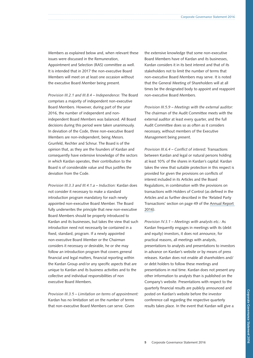Members as explained below and, when relevant these issues were discussed in the Remuneration, Appointment and Selection (RAS) committee as well. It is intended that in 2017 the non-executive Board Members will meet on at least one occasion without the executive Board Member being present.

*Provision III.2.1 and III.8.4 – Independence:* The Board comprises a majority of independent non-executive Board Members. However, during part of the year 2016, the number of independent and nonindependent Board Members was balanced. All Board decisions during this period were taken unanimously. In deviation of the Code, three non-executive Board Members are non-independent, being Messrs. Grunfeld, Rechter and Schnur. The Board is of the opinion that, as they are the founders of Kardan and consequently have extensive knowledge of the sectors in which Kardan operates, their contribution to the Board is of considerable value and thus justifies the deviation from the Code.

*Provision III.3.3 and III.4.1.a – Induction:* Kardan does not consider it necessary to make a standard introduction program mandatory for each newly appointed non-executive Board Member. The Board fully underwrites the principle that new non-executive Board Members should be properly introduced to Kardan and its businesses, but takes the view that such introduction need not necessarily be contained in a fixed, standard, program. If a newly appointed non-executive Board Member or the Chairman considers it necessary or desirable, he or she may follow an introduction program that covers general financial and legal matters, financial reporting within the Kardan Group and/or any specific aspects that are unique to Kardan and its business activities and to the collective and individual responsibilities of non executive Board Members.

*Provision III.3.5 – Limitation on terms of appointment:* Kardan has no limitation set on the number of terms that non-executive Board Members can serve. Given

the extensive knowledge that some non-executive Board Members have of Kardan and its businesses, Kardan considers it in its best interest and that of its stakeholders not to limit the number of terms that non-executive Board Members may serve. It is noted that the General Meeting of Shareholders will at all times be the designated body to appoint and reappoint non-executive Board Members.

*Provision III.5.9 – Meetings with the external auditor:* The chairman of the Audit Committee meets with the external auditor at least every quarter, and the full Audit Committee does so as often as it considers necessary, without members of the Executive Management being present.

*Provision III.6.4 – Conflict of interest:* Transactions between Kardan and legal or natural persons holding at least 10% of the shares in Kardan's capital: Kardan takes the view that suitable protection in this respect is provided for given the provisions on conflicts of interest included in its Articles and the Board Regulations, in combination with the provisions on transactions with Holders of Control (as defined in the Articles and as further described in the 'Related Party Transactions' section on page 49 of the [Annual Report](http://www.kardan.nl/images/annual-report/annual-reports/AR2016.pdf)  [2016](http://www.kardan.nl/images/annual-report/annual-reports/AR2016.pdf)).

*Provision IV.3.1 – Meetings with analysts etc.:* As Kardan frequently engages in meetings with its (debt and equity) investors, it does not announce, for practical reasons, all meetings with analysts, presentations to analysts and presentations to investors in advance on Kardan's website or by means of press releases. Kardan does not enable all shareholders and/ or debt holders to follow these meetings and presentations in real time. Kardan does not present any other information to analysts than is published on the Company's website. Presentations with respect to the quarterly financial results are publicly announced and posted on Kardan's website before the investor conference call regarding the respective quarterly results takes place. In the event that Kardan will give a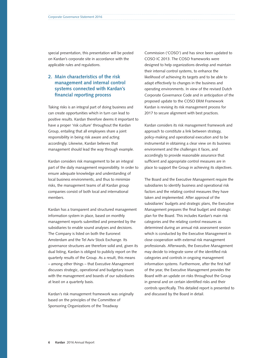special presentation, this presentation will be posted on Kardan's corporate site in accordance with the applicable rules and regulations.

# **2. Main characteristics of the risk management and internal control systems connected with Kardan's financial reporting process**

Taking risks is an integral part of doing business and can create opportunities which in turn can lead to positive results. Kardan therefore deems it important to have a proper 'risk culture' throughout the Kardan Group, entailing that all employees share a joint responsibility in being risk aware and acting accordingly. Likewise, Kardan believes that management should lead the way through example.

Kardan considers risk management to be an integral part of the daily management responsibility. In order to ensure adequate knowledge and understanding of local business environments, and thus to minimize risks, the management teams of all Kardan group companies consist of both local and international members.

Kardan has a transparent and structured management information system in place, based on monthly management reports submitted and presented by the subsidiaries to enable sound analyses and decisions. The Company is listed on both the Euronext Amsterdam and the Tel Aviv Stock Exchange. Its governance structures are therefore solid and, given its dual listing, Kardan is obliged to publicly report on the quarterly results of the Group. As a result, this means – among other things – that Executive Management discusses strategic, operational and budgetary issues with the management and boards of our subsidiaries at least on a quarterly basis.

Kardan's risk management framework was originally based on the principles of the Committee of Sponsoring Organizations of the Treadway

Commission ('COSO') and has since been updated to COSO IC 2013. The COSO frameworks were designed to help organizations develop and maintain their internal control systems, to enhance the likelihood of achieving its targets and to be able to adapt effectively to changes in the business and operating environments. In view of the revised Dutch Corporate Governance Code and in anticipation of the proposed update to the COSO ERM Framework Kardan is revising its risk management process for 2017 to secure alignment with best practices.

Kardan considers its risk management framework and approach to constitute a link between strategy, policy-making and operational execution and to be instrumental in obtaining a clear view on its business environment and the challenges it faces, and accordingly to provide reasonable assurance that sufficient and appropriate control measures are in place to support the Group in achieving its objectives.

The Board and the Executive Management require the subsidiaries to identify business and operational risk factors and the relating control measures they have taken and implemented. After approval of the subsidiaries' budgets and strategic plans, the Executive Management prepares the final budget and strategic plan for the Board. This includes Kardan's main risk categories and the relating control measures as determined during an annual risk assessment session which is conducted by the Executive Management in close cooperation with external risk management professionals. Afterwards, the Executive Management may decide to integrate some of the identified risk categories and controls in ongoing management information systems. Furthermore, after the first half of the year, the Executive Management provides the Board with an update on risks throughout the Group in general and on certain identified risks and their controls specifically. This detailed report is presented to and discussed by the Board in detail.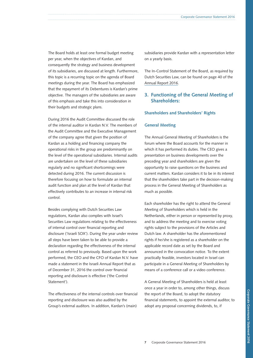The Board holds at least one formal budget meeting per year, when the objectives of Kardan, and consequently the strategy and business development of its subsidiaries, are discussed at length. Furthermore, this topic is a recurring topic on the agenda of Board meetings during the year. The Board has emphasized that the repayment of its Debentures is Kardan's prime objective. The managers of the subsidiaries are aware of this emphasis and take this into consideration in their budgets and strategic plans.

During 2016 the Audit Committee discussed the role of the internal auditor in Kardan N.V. The members of the Audit Committee and the Executive Management of the company agree that given the position of Kardan as a holding and financing company the operational risks in the group are predominantly on the level of the operational subsidiaries. Internal audits are undertaken on the level of these subsidiaries regularly and no significant shortcomings were detected during 2016. The current discussion is therefore focusing on how to formulate an internal audit function and plan at the level of Kardan that effectively contributes to an increase in internal risk control.

Besides complying with Dutch Securities Law regulations, Kardan also complies with Israel's Securities Law regulations relating to the effectiveness of internal control over financial reporting and disclosure ('Israeli SOX'). During the year under review all steps have been taken to be able to provide a declaration regarding the effectiveness of the internal control as referred to previously. Based upon the work performed, the CEO and the CFO of Kardan N.V. have made a statement in the Israeli Annual Report that as of December 31, 2016 the control over financial reporting and disclosure is effective ('the Control Statement').

The effectiveness of the internal controls over financial reporting and disclosure was also audited by the Group's external auditors. In addition, Kardan's (main)

subsidiaries provide Kardan with a representation letter on a yearly basis.

The In-Control Statement of the Board, as required by Dutch Securities Law, can be found on page 40 of the [Annual Report 2016.](http://www.kardan.nl/images/annual-report/annual-reports/AR2016.pdf)

# **3. Functioning of the General Meeting of Shareholders:**

#### **Shareholders and Shareholders' Rights**

#### **General Meeting**

The Annual General Meeting of Shareholders is the forum where the Board accounts for the manner in which it has performed its duties. The CEO gives a presentation on business developments over the preceding year and shareholders are given the opportunity to raise questions on the business and current matters. Kardan considers it to be in its interest that the shareholders take part in the decision-making process in the General Meeting of Shareholders as much as possible.

Each shareholder has the right to attend the General Meeting of Shareholders which is held in the Netherlands, either in person or represented by proxy, and to address the meeting and to exercise voting rights subject to the provisions of the Articles and Dutch law. A shareholder has the aforementioned rights if he/she is registered as a shareholder on the applicable record date as set by the Board and announced in the convocation notice. To the extent practically feasible, investors located in Israel can participate in a General Meeting of Shareholders by means of a conference call or a video conference.

A General Meeting of Shareholders is held at least once a year in order to, among other things, discuss the report of the Board, to adopt the statutory financial statements, to appoint the external auditor, to adopt any proposal concerning dividends, to, if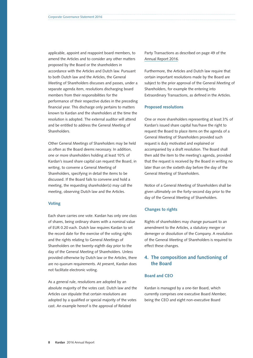applicable, appoint and reappoint board members, to amend the Articles and to consider any other matters proposed by the Board or the shareholders in accordance with the Articles and Dutch law. Pursuant to both Dutch law and the Articles, the General Meeting of Shareholders discusses and passes, under a separate agenda item, resolutions discharging board members from their responsibilities for the performance of their respective duties in the preceding financial year. This discharge only pertains to matters known to Kardan and the shareholders at the time the resolution is adopted. The external auditor will attend and be entitled to address the General Meeting of Shareholders.

Other General Meetings of Shareholders may be held as often as the Board deems necessary. In addition, one or more shareholders holding at least 10% of Kardan's issued share capital can request the Board, in writing, to convene a General Meeting of Shareholders, specifying in detail the items to be discussed. If the Board fails to convene and hold a meeting, the requesting shareholder(s) may call the meeting, observing Dutch law and the Articles.

## **Voting**

Each share carries one vote. Kardan has only one class of shares, being ordinary shares with a nominal value of EUR 0.20 each. Dutch law requires Kardan to set the record date for the exercise of the voting rights and the rights relating to General Meetings of Shareholders on the twenty-eighth day prior to the day of the General Meeting of Shareholders. Unless provided otherwise by Dutch law or the Articles, there are no quorum requirements. At present, Kardan does not facilitate electronic voting.

As a general rule, resolutions are adopted by an absolute majority of the votes cast. Dutch law and the Articles can stipulate that certain resolutions are adopted by a qualified or special majority of the votes cast. An example hereof is the approval of Related

Party Transactions as described on page 49 of the [Annual Report 2016.](http://www.kardan.nl/images/annual-report/annual-reports/AR2016.pdf)

Furthermore, the Articles and Dutch law require that certain important resolutions made by the Board are subject to the prior approval of the General Meeting of Shareholders, for example the entering into Extraordinary Transactions, as defined in the Articles.

#### **Proposed resolutions**

One or more shareholders representing at least 3% of Kardan's issued share capital has/have the right to request the Board to place items on the agenda of a General Meeting of Shareholders provided such request is duly motivated and explained or accompanied by a draft resolution. The Board shall then add the item to the meeting's agenda, provided that the request is received by the Board in writing no later than on the sixtieth day before the day of the General Meeting of Shareholders.

Notice of a General Meeting of Shareholders shall be given ultimately on the forty-second day prior to the day of the General Meeting of Shareholders.

#### **Changes to rights**

Rights of shareholders may change pursuant to an amendment to the Articles, a statutory merger or demerger or dissolution of the Company. A resolution of the General Meeting of Shareholders is required to effect these changes.

# **4. The composition and functioning of the Board**

## **Board and CEO**

Kardan is managed by a one-tier Board, which currently comprises one executive Board Member, being the CEO and eight non-executive Board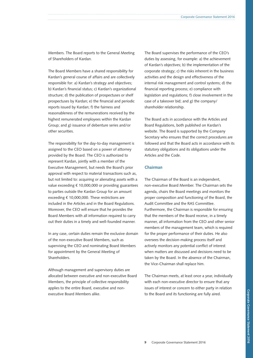Members. The Board reports to the General Meeting of Shareholders of Kardan.

The Board Members have a shared responsibility for Kardan's general course of affairs and are collectively responsible for: a) Kardan's strategy and objectives; b) Kardan's financial status; c) Kardan's organizational structure; d) the publication of prospectuses or shelf prospectuses by Kardan; e) the financial and periodic reports issued by Kardan; f) the fairness and reasonableness of the remunerations received by the highest remunerated employees within the Kardan Group; and g) issuance of debenture series and/or other securities.

The responsibility for the day-to-day management is assigned to the CEO based on a power of attorney provided by the Board. The CEO is authorized to represent Kardan, jointly with a member of the Executive Management, but needs the Board's prior approval with respect to material transactions such as, but not limited to: acquiring or alienating assets with a value exceeding € 10,000,000 or providing guarantees to parties outside the Kardan Group for an amount exceeding € 10,000,000. These restrictions are included in the Articles and in the Board Regulations. Moreover, the CEO will ensure that he provides the Board Members with all information required to carry out their duties in a timely and well-founded manner.

In any case, certain duties remain the exclusive domain of the non-executive Board Members, such as supervising the CEO and nominating Board Members for appointment by the General Meeting of Shareholders.

Although management and supervisory duties are allocated between executive and non-executive Board Members, the principle of collective responsibility applies to the entire Board, executive and nonexecutive Board Members alike.

The Board supervises the performance of the CEO's duties by assessing, for example: a) the achievement of Kardan's objectives; b) the implementation of the corporate strategy; c) the risks inherent in the business activities and the design and effectiveness of the internal risk management and control systems; d) the financial reporting process; e) compliance with legislation and regulations; f) close involvement in the case of a takeover bid; and g) the company/ shareholder relationship.

The Board acts in accordance with the Articles and Board Regulations, both published on Kardan's website. The Board is supported by the Company Secretary who ensures that the correct procedures are followed and that the Board acts in accordance with its statutory obligations and its obligations under the Articles and the Code.

## **Chairman**

The Chairman of the Board is an independent, non-executive Board Member. The Chairman sets the agenda, chairs the Board meetings and monitors the proper composition and functioning of the Board, the Audit Committee and the RAS Committee. Furthermore, the Chairman is responsible for ensuring that the members of the Board receive, in a timely manner, all information from the CEO and other senior members of the management team, which is required for the proper performance of their duties. He also oversees the decision-making process itself and actively monitors any potential conflict of interest when matters are discussed and decisions need to be taken by the Board. In the absence of the Chairman, the Vice-Chairman shall replace him.

The Chairman meets, at least once a year, individually with each non-executive director to ensure that any issues of interest or concern to either party in relation to the Board and its functioning are fully aired.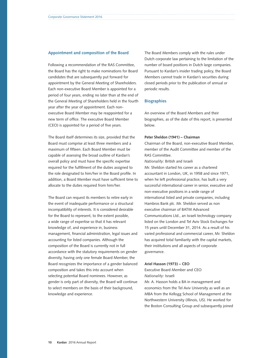#### **Appointment and composition of the Board**

Following a recommendation of the RAS Committee, the Board has the right to make nominations for Board candidates that are subsequently put forward for appointment by the General Meeting of Shareholders. Each non-executive Board Member is appointed for a period of four years, ending no later than at the end of the General Meeting of Shareholders held in the fourth year after the year of appointment. Each nonexecutive Board Member may be reappointed for a new term of office. The executive Board Member (CEO) is appointed for a period of five years.

The Board itself determines its size, provided that the Board must comprise at least three members and a maximum of fifteen. Each Board Member must be capable of assessing the broad outline of Kardan's overall policy and must have the specific expertise required for the fulfillment of the duties assigned to the role designated to him/her in the Board profile. In addition, a Board Member must have sufficient time to allocate to the duties required from him/her.

The Board can request its members to retire early in the event of inadequate performance or a structural incompatibility of interests. It is considered desirable for the Board to represent, to the extent possible, a wide range of expertise so that it has relevant knowledge of, and experience in, business management, financial administration, legal issues and accounting for listed companies. Although the composition of the Board is currently not in full accordance with the statutory requirements on gender diversity, having only one female Board Member, the Board recognizes the importance of a gender balanced composition and takes this into account when selecting potential Board nominees. However, as gender is only part of diversity, the Board will continue to select members on the basis of their background, knowledge and experience.

The Board Members comply with the rules under Dutch corporate law pertaining to the limitation of the number of board positions in Dutch large companies. Pursuant to Kardan's insider trading policy, the Board Members cannot trade in Kardan's securities during closed periods prior to the publication of annual or periodic results.

#### **Biographies**

An overview of the Board Members and their biographies, as of the date of this report, is presented below.

#### **Peter Sheldon (1941) – Chairman**

Chairman of the Board, non-executive Board Member, member of the Audit Committee and member of the RAS Committee.

*Nationality:* British and Israeli

Mr. Sheldon started his career as a chartered accountant in London, UK, in 1958 and since 1971, when he left professional practice, has built a very successful international career in senior, executive and non-executive positions in a wide range of international listed and private companies, including Hambros Bank plc. Mr. Sheldon served as non executive chairman of BATM Advanced Communications Ltd., an Israeli technology company listed on the London and Tel Aviv Stock Exchanges for 15 years until December 31, 2014. As a result of his varied professional and commercial career, Mr. Sheldon has acquired total familiarity with the capital markets, their institutions and all aspects of corporate governance.

#### **Ariel Hasson (1973) – CEO**

Executive Board Member and CEO *Nationality:* Israeli

Mr. A. Hasson holds a BA in management and economics from the Tel Aviv University as well as an MBA from the Kellogg School of Management at the Northwestern University (Illinois, US). He worked for the Boston Consulting Group and subsequently joined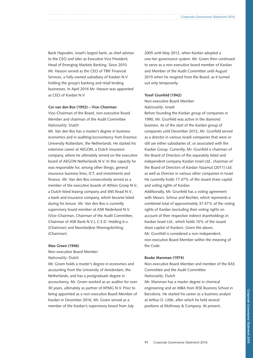Bank Hapoalim, Israel's largest bank, as chief advisor to the CEO and later as Executive Vice President, Head of Emerging Markets Banking. Since 2010 Mr. Hasson served as the CEO of TBIF Financial Services, a fully-owned subsidiary of Kardan N.V holding the group's banking and retail lending businesses. In April 2016 Mr. Hasson was appointed as CEO of Kardan N.V.

#### **Cor van den Bos (1952) – Vice-Chairman**

Vice-Chairman of the Board, non-executive Board Member and chairman of the Audit Committee *Nationality:* Dutch

Mr. Van den Bos has a master's degree in business economics and in auditing/accountancy from Erasmus University Rotterdam, the Netherlands. He started his extensive career at AEGON, a Dutch insurance company, where he ultimately served on the executive board of AEGON Netherlands N.V. In this capacity he was responsible for, among other things, general insurance business lines, ICT, and investments and finance. Mr. Van den Bos consecutively served as a member of the executive boards of Athlon Groep N.V., a Dutch listed leasing company and SNS Reaal N.V., a bank and insurance company, which became listed during his tenure. Mr. Van den Bos is currently supervisory board member at ASR Nederland N.V. (Vice-Chairman, Chairman of the Audit Committee, Chairman of ASR Bank N.V.), C.E.D. Holding b.v. (Chairman) and Noordwijkse Woningstichting (Chairman).

#### **Max Groen (1946)**

Non-executive Board Member *Nationality:* Dutch

Mr. Groen holds a master's degree in economics and accounting from the University of Amsterdam, the Netherlands, and has a postgraduate degree in accountancy. Mr. Groen worked as an auditor for over 30 years, ultimately as partner of KPMG N.V. Prior to being appointed as a non-executive Board Member of Kardan in December 2016, Mr. Groen served as a member of the Kardan's supervisory board from July

2005 until May 2012, when Kardan adopted a one-tier governance system. Mr. Groen then continued to serve as a non-executive board member of Kardan and Member of the Audit Committee until August 2015 when he resigned from the Board, as it turned out only temporarily.

#### **Yosef Grunfeld (1942)**

Non-executive Board Member *Nationality:* Israeli

Before founding the Kardan group of companies in 1990, Mr. Grunfeld was active in the diamond business. As of the start of the Kardan group of companies until December 2012, Mr. Grunfeld served as a director in various Israeli companies that were or still are either subsidiaries of, or associated with the Kardan Group. Currently, Mr. Grunfeld is chairman of the Board of Directors of the separately listed and independent company Kardan Israel Ltd., chairman of the Board of Directors of Kardan Yazamut (2011) Ltd. as well as Director in various other companies in Israel. He currently holds 17.47% of the issued share capital and voting rights of Kardan.

Additionally, Mr. Grunfeld has a voting agreement with Messrs. Schnur and Rechter, which represents a combined total of approximately 37.47% of the voting rights of Kardan (excluding their voting rights on account of their respective indirect shareholdings in Kardan Israel Ltd., which holds 10% of the issued share capital of Kardan). Given the above, Mr. Grunfeld is considered a non-independent, non-executive Board Member within the meaning of the Code.

#### **Bouke Marsman (1974)**

Non-executive Board Member and member of the RAS Committee and the Audit Committee *Nationality:* Dutch

Mr. Marsman has a master degree in chemical engineering and an MBA from IESE Business School in Barcelona. He started his career as a business analyst at Arthur D. Little, after which he held several positions at McKinsey & Company. At present,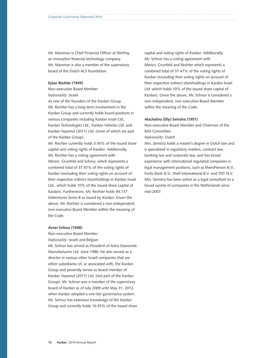Mr. Marsman is Chief Financial Officer at SlimPay, an innovative financial technology company. Mr. Marsman is also a member of the supervisory board of the Dutch ALS foundation.

#### **Eytan Rechter (1949)**

Non-executive Board Member *Nationality:* Israeli

As one of the founders of the Kardan Group, Mr. Rechter has a long-term involvement in the Kardan Group and currently holds board positions in various companies including Kardan Israel Ltd., Kardan Technologies Ltd., Kardan Vehicles Ltd. and Kardan Yazamut (2011) Ltd. (none of which are part of the Kardan Group).

Mr. Rechter currently holds 3.45% of the issued share capital and voting rights of Kardan. Additionally, Mr. Rechter has a voting agreement with Messrs. Grunfeld and Schnur, which represents a combined total of 37.47% of the voting rights of Kardan (excluding their voting rights on account of their respective indirect shareholdings in Kardan Israel Ltd., which holds 10% of the issued share capital of Kardan). Furthermore, Mr. Rechter holds 94,137 Debentures Series B as issued by Kardan. Given the above, Mr. Rechter is considered a non-independent, non-executive Board Member within the meaning of the Code.

#### **Avner Schnur (1948)**

Non-executive Board Member *Nationality:* Israeli and Belgian Mr. Schnur has served as President of Astra Diamonds Manufacturers Ltd. since 1986. He also served as a director in various other Israeli companies that are either subsidiaries of, or associated with, the Kardan Group and presently serves as board member of Kardan Yazamut (2011) Ltd. (not part of the Kardan Group). Mr. Schnur was a member of the supervisory board of Kardan as of July 2009 until May 31, 2012, when Kardan adopted a one-tier governance system. Mr. Schnur has extensive knowledge of the Kardan Group and currently holds 16.55% of the issued share capital and voting rights of Kardan. Additionally, Mr. Schnur has a voting agreement with Messrs. Grunfeld and Rechter which represents a combined total of 37.47% of the voting rights of Kardan (excluding their voting rights on account of their respective indirect shareholdings in Kardan Israel Ltd. which holds 10% of the issued share capital of Kardan). Given the above, Mr. Schnur is considered a non-independent, non-executive Board Member within the meaning of the Code.

#### **Machalina (Elly) Seinstra (1951)**

Non-executive Board Member and Chairman of the RAS Committee

## *Nationality:* Dutch

Mrs. Seinstra holds a master's degree in Dutch law and is specialized in regulatory matters, contract law, banking law and corporate law, and has broad experience with international regulated companies in legal management positions, such as MeesPierson N.V., Fortis Bank N.V., Shell International B.V. and TNT N.V. Mrs. Seinstra has been active as a legal consultant to a broad variety of companies in the Netherlands since mid-2007.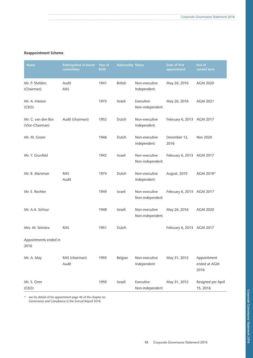## **Reappointment Scheme**

| <b>Name</b>                           | Participation in board<br>committees | Year of<br><b>Birth</b> | <b>Nationality Status</b> |                                  | Date of first<br>appointment | End of<br>current term              |
|---------------------------------------|--------------------------------------|-------------------------|---------------------------|----------------------------------|------------------------------|-------------------------------------|
| Mr. P. Sheldon<br>(Chairman)          | Audit<br><b>RAS</b>                  | 1941                    | <b>British</b>            | Non-executive<br>Independent     | May 26, 2016                 | AGM 2020                            |
| Mr. A. Hasson<br>(CEO)                |                                      | 1973                    | Israeli                   | Executive<br>Non-independent     | May 26, 2016                 | AGM 2021                            |
| Mr. C. van den Bos<br>(Vice-Chairman) | Audit (chairman)                     | 1952                    | Dutch                     | Non-executive<br>Independent     | February 6, 2013 AGM 2017    |                                     |
| Mr. M. Groen                          |                                      | 1946                    | Dutch                     | Non-executive<br>Independent     | December 12,<br>2016         | Nov 2020                            |
| Mr. Y. Grunfeld                       |                                      | 1942                    | Israeli                   | Non-executive<br>Non-independent | February 6, 2013 AGM 2017    |                                     |
| Mr. B. Marsman                        | <b>RAS</b><br>Audit                  | 1974                    | Dutch                     | Non-executive<br>Independent     | August, 2015                 | AGM 2019*                           |
| Mr. E. Rechter                        |                                      | 1949                    | Israeli                   | Non-executive<br>Non-independent | February 6, 2013 AGM 2017    |                                     |
| Mr. A.A. Schnur                       |                                      | 1948                    | Israeli                   | Non-executive<br>Non-independent | May 26, 2016                 | AGM 2020                            |
| Mrs. M. Seinstra                      | <b>RAS</b>                           | 1951                    | Dutch                     |                                  | February 6, 2013 AGM 2017    |                                     |
| Appointments ended in<br>2016         |                                      |                         |                           |                                  |                              |                                     |
| Mr. A. May                            | RAS (chairman)<br>Audit              | 1955                    | Belgian                   | Non-executive<br>Independent     | May 31, 2012                 | Appointment<br>ended at AGM<br>2016 |
| Mr. S. Oren<br>(CEO)                  |                                      | 1959                    | Israeli                   | Executive<br>Non-independent     | May 31, 2012                 | Resigned per April<br>15, 2016      |

\* see for details of his appointment page 46 of the chapter on Governance and Compliance in the Annual Report 2016.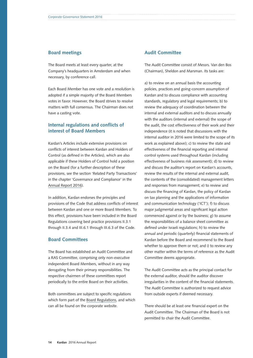## **Board meetings**

The Board meets at least every quarter, at the Company's headquarters in Amsterdam and when necessary, by conference call.

Each Board Member has one vote and a resolution is adopted if a simple majority of the Board Members votes in favor. However, the Board strives to resolve matters with full consensus. The Chairman does not have a casting vote.

## **Internal regulations and conflicts of interest of Board Members**

Kardan's Articles include extensive provisions on conflicts of interest between Kardan and Holders of Control (as defined in the Articles), which are also applicable if these Holders of Control hold a position on the Board (for a further description of these provisions, see the section 'Related Party Transactions' in the chapter 'Governance and Compliance' in the [Annual Report 2016\)](http://www.kardan.nl/images/annual-report/annual-reports/AR2016.pdf).

In addition, Kardan endorses the principles and provisions of the Code that address conflicts of interest between Kardan and one or more Board Members. To this effect, provisions have been included in the Board Regulations covering best practice provisions II.3.1 through II.3.4 and III.6.1 through III.6.3 of the Code.

## **Board Committees**

The Board has established an Audit Committee and a RAS Committee, comprising only non-executive independent Board Members, without in any way derogating from their primary responsibilities. The respective chairmen of these committees report periodically to the entire Board on their activities.

Both committees are subject to specific regulations which form part of the [Board Regulations](http://www.kardan.nl/about-kardan/governance-policies-documents), and which can all be found on the corporate website.

## **Audit Committee**

The Audit Committee consist of Messrs. Van den Bos (Chairman), Sheldon and Marsman. Its tasks are:

a) to review on an annual basis the accounting policies, practices and going-concern assumption of Kardan and to discuss compliance with accounting standards, regulatory and legal requirements; b) to review the adequacy of coordination between the internal and external auditors and to discuss annually with the auditors (internal and external) the scope of the audit, the cost effectiveness of their work and their independence (it is noted that discussions with the internal auditor in 2016 were limited to the scope of its work as explained above); c) to review the state and effectiveness of the financial reporting and internal control systems used throughout Kardan (including effectiveness of business risk assessment); d) to review and discuss the auditor's report on Kardan's accounts, review the results of the internal and external audit, the contents of the (consolidated) management letters and responses from management; e) to review and discuss the financing of Kardan, the policy of Kardan on tax planning and the applications of information and communication technology ('ICT'); f) to discuss major judgmental areas and significant legal action commenced against or by the business; g) to assume the responsibilities of a balance sheet committee as defined under Israeli regulations; h) to review the annual and periodic (quarterly) financial statements of Kardan before the Board and recommend to the Board whether to approve them or not; and i) to review any other matter within the terms of reference as the Audit Committee deems appropriate.

The Audit Committee acts as the principal contact for the external auditor, should the auditor discover irregularities in the content of the financial statements. The Audit Committee is authorized to request advice from outside experts if deemed necessary.

There should be at least one financial expert on the Audit Committee. The Chairman of the Board is not permitted to chair the Audit Committee.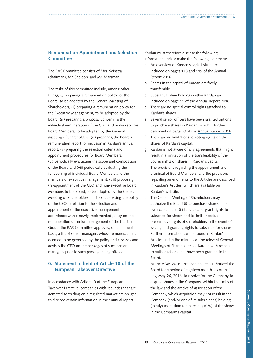# **Remuneration Appointment and Selection Committee**

The RAS Committee consists of Mrs. Seinstra (chairman), Mr. Sheldon, and Mr. Marsman.

The tasks of this committee include, among other things, (i) preparing a remuneration policy for the Board, to be adopted by the General Meeting of Shareholders, (ii) preparing a remuneration policy for the Executive Management, to be adopted by the Board, (iii) preparing a proposal concerning the individual remuneration of the CEO and non-executive Board Members, to be adopted by the General Meeting of Shareholders, (iv) preparing the Board's remuneration report for inclusion in Kardan's annual report, (v) preparing the selection criteria and appointment procedures for Board Members, (vi) periodically evaluating the scope and composition of the Board and (vii) periodically evaluating the functioning of individual Board Members and the members of executive management; (viii) proposing (re)appointment of the CEO and non-executive Board Members to the Board, to be adopted by the General Meeting of Shareholders; and ix) supervising the policy of the CEO in relation to the selection and appointment of the executive management. In accordance with a newly implemented policy on the remuneration of senior management of the Kardan Group, the RAS Committee approves, on an annual basis, a list of senior managers whose remuneration is deemed to be governed by the policy and assesses and advises the CEO on the packages of such senior managers prior to such package being offered.

# **5. Statement in light of Article 10 of the European Takeover Directive**

In accordance with Article 10 of the European Takeover Directive, companies with securities that are admitted to trading on a regulated market are obliged to disclose certain information in their annual report.

Kardan must therefore disclose the following information and/or make the following statements:

- a. An overview of Kardan's capital structure is included on pages 118 and 119 of the [Annual](http://www.kardan.nl/images/annual-report/annual-reports/AR2016.pdf)  [Report 2016.](http://www.kardan.nl/images/annual-report/annual-reports/AR2016.pdf)
- b. Shares in the capital of Kardan are freely transferable.
- c. Substantial shareholdings within Kardan are included on page 11 of the [Annual Report 2016.](http://www.kardan.nl/images/annual-report/annual-reports/AR2016.pdf)
- d. There are no special control rights attached to Kardan's shares.
- e. Several senior officers have been granted options to purchase shares in Kardan, which is further described on page 53 of the [Annual Report 2016.](http://www.kardan.nl/images/annual-report/annual-reports/AR2016.pdf)
- f. There are no limitations to voting rights on the shares of Kardan's capital.
- g. Kardan is not aware of any agreements that might result in a limitation of the transferability of the voting rights on shares in Kardan's capital.
- h. The provisions regarding the appointment and dismissal of Board Members, and the provisions regarding amendments to the Articles are described in Kardan's Articles, which are available on Kardan's website.
- i. The General Meeting of Shareholders may authorize the Board (i) to purchase shares in its own capital, and (ii) to issue and grant rights to subscribe for shares and to limit or exclude pre-emptive rights of shareholders in the event of issuing and granting rights to subscribe for shares. Further information can be found in Kardan's Articles and in the minutes of the relevant General Meetings of Shareholders of Kardan with respect to authorizations that have been granted to the Board.

At the AGM 2016, the shareholders authorized the Board for a period of eighteen months as of that day, May 26, 2016, to resolve for the Company to acquire shares in the Company, within the limits of the law and the articles of association of the Company, which acquisition may not result in the Company (and/or one of its subsidiaries) holding (jointly) more than ten percent (10%) of the shares in the Company's capital.